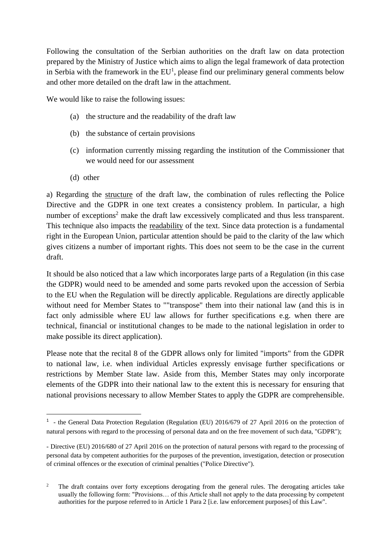Following the consultation of the Serbian authorities on the draft law on data protection prepared by the Ministry of Justice which aims to align the legal framework of data protection in Serbia with the framework in the  $EU<sup>1</sup>$ , please find our preliminary general comments below and other more detailed on the draft law in the attachment.

We would like to raise the following issues:

- (a) the structure and the readability of the draft law
- (b) the substance of certain provisions
- (c) information currently missing regarding the institution of the Commissioner that we would need for our assessment
- (d) other

**.** 

a) Regarding the structure of the draft law, the combination of rules reflecting the Police Directive and the GDPR in one text creates a consistency problem. In particular, a high number of exceptions<sup>2</sup> make the draft law excessively complicated and thus less transparent. This technique also impacts the readability of the text. Since data protection is a fundamental right in the European Union, particular attention should be paid to the clarity of the law which gives citizens a number of important rights. This does not seem to be the case in the current draft.

It should be also noticed that a law which incorporates large parts of a Regulation (in this case the GDPR) would need to be amended and some parts revoked upon the accession of Serbia to the EU when the Regulation will be directly applicable. Regulations are directly applicable without need for Member States to ""transpose" them into their national law (and this is in fact only admissible where EU law allows for further specifications e.g. when there are technical, financial or institutional changes to be made to the national legislation in order to make possible its direct application).

Please note that the recital 8 of the GDPR allows only for limited "imports" from the GDPR to national law, i.e. when individual Articles expressly envisage further specifications or restrictions by Member State law. Aside from this, Member States may only incorporate elements of the GDPR into their national law to the extent this is necessary for ensuring that national provisions necessary to allow Member States to apply the GDPR are comprehensible.

<sup>&</sup>lt;sup>1</sup> - the General Data Protection Regulation (Regulation (EU) 2016/679 of 27 April 2016 on the protection of natural persons with regard to the processing of personal data and on the free movement of such data, "GDPR");

<sup>-</sup> Directive (EU) 2016/680 of 27 April 2016 on the protection of natural persons with regard to the processing of personal data by competent authorities for the purposes of the prevention, investigation, detection or prosecution of criminal offences or the execution of criminal penalties ("Police Directive").

<sup>&</sup>lt;sup>2</sup> The draft contains over forty exceptions derogating from the general rules. The derogating articles take usually the following form: "Provisions… of this Article shall not apply to the data processing by competent authorities for the purpose referred to in Article 1 Para 2 [i.e. law enforcement purposes] of this Law".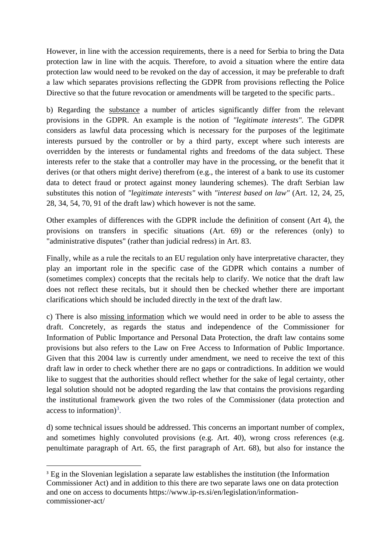However, in line with the accession requirements, there is a need for Serbia to bring the Data protection law in line with the acquis. Therefore, to avoid a situation where the entire data protection law would need to be revoked on the day of accession, it may be preferable to draft a law which separates provisions reflecting the GDPR from provisions reflecting the Police Directive so that the future revocation or amendments will be targeted to the specific parts..

b) Regarding the substance a number of articles significantly differ from the relevant provisions in the GDPR. An example is the notion of *"legitimate interests".* The GDPR considers as lawful data processing which is necessary for the purposes of the legitimate interests pursued by the controller or by a third party, except where such interests are overridden by the interests or fundamental rights and freedoms of the data subject. These interests refer to the stake that a controller may have in the processing, or the benefit that it derives (or that others might derive) therefrom (e.g., the interest of a bank to use its customer data to detect fraud or protect against money laundering schemes). The draft Serbian law substitutes this notion of *"legitimate interests"* with *"interest based on law"* (Art. 12, 24, 25, 28, 34, 54, 70, 91 of the draft law) which however is not the same*.*

Other examples of differences with the GDPR include the definition of consent (Art 4), the provisions on transfers in specific situations (Art. 69) or the references (only) to "administrative disputes" (rather than judicial redress) in Art. 83.

Finally, while as a rule the recitals to an EU regulation only have interpretative character, they play an important role in the specific case of the GDPR which contains a number of (sometimes complex) concepts that the recitals help to clarify. We notice that the draft law does not reflect these recitals, but it should then be checked whether there are important clarifications which should be included directly in the text of the draft law.

c) There is also missing information which we would need in order to be able to assess the draft. Concretely, as regards the status and independence of the Commissioner for Information of Public Importance and Personal Data Protection, the draft law contains some provisions but also refers to the Law on Free Access to Information of Public Importance. Given that this 2004 law is currently under amendment, we need to receive the text of this draft law in order to check whether there are no gaps or contradictions. In addition we would like to suggest that the authorities should reflect whether for the sake of legal certainty, other legal solution should not be adopted regarding the law that contains the provisions regarding the institutional framework given the two roles of the Commissioner (data protection and access to information)<sup>3</sup>.

d) some technical issues should be addressed. This concerns an important number of complex, and sometimes highly convoluted provisions (e.g. Art. 40), wrong cross references (e.g. penultimate paragraph of Art. 65, the first paragraph of Art. 68), but also for instance the

1

<sup>&</sup>lt;sup>3</sup> Eg in the Slovenian legislation a separate law establishes the institution (the Information Commissioner Act) and in addition to this there are two separate laws one on data protection and one on access to documents https://www.ip-rs.si/en/legislation/informationcommissioner-act/